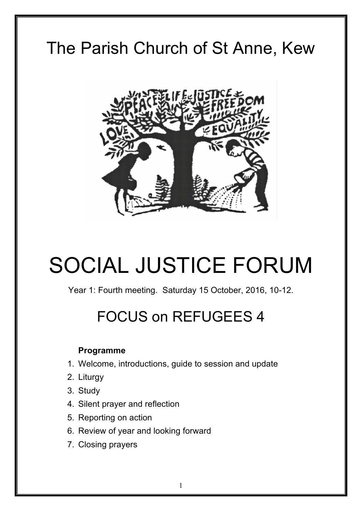# The Parish Church of St Anne, Kew



# SOCIAL JUSTICE FORUM

Year 1: Fourth meeting. Saturday 15 October, 2016, 10-12.

# FOCUS on REFUGEES 4

## **Programme**

- 1. Welcome, introductions, guide to session and update
- 2. Liturgy
- 3. Study
- 4. Silent prayer and reflection
- 5. Reporting on action
- 6. Review of year and looking forward
- 7. Closing prayers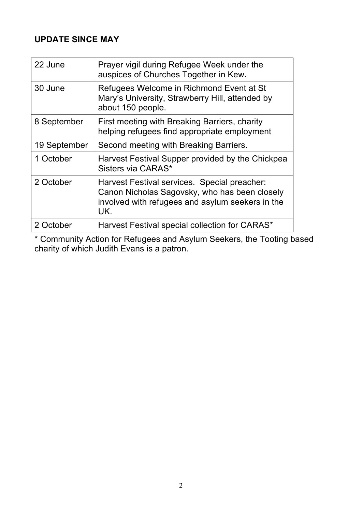# **UPDATE SINCE MAY**

| 22 June      | Prayer vigil during Refugee Week under the<br>auspices of Churches Together in Kew.                                                                      |
|--------------|----------------------------------------------------------------------------------------------------------------------------------------------------------|
| 30 June      | Refugees Welcome in Richmond Event at St<br>Mary's University, Strawberry Hill, attended by<br>about 150 people.                                         |
| 8 September  | First meeting with Breaking Barriers, charity<br>helping refugees find appropriate employment                                                            |
| 19 September | Second meeting with Breaking Barriers.                                                                                                                   |
| 1 October    | Harvest Festival Supper provided by the Chickpea<br>Sisters via CARAS*                                                                                   |
| 2 October    | Harvest Festival services. Special preacher:<br>Canon Nicholas Sagovsky, who has been closely<br>involved with refugees and asylum seekers in the<br>UK. |
| 2 October    | Harvest Festival special collection for CARAS*                                                                                                           |

\* Community Action for Refugees and Asylum Seekers, the Tooting based charity of which Judith Evans is a patron.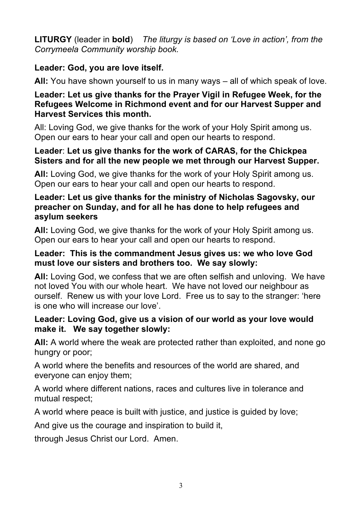**LITURGY** (leader in **bold**) *The liturgy is based on 'Love in action', from the Corrymeela Community worship book.* 

# **Leader: God, you are love itself.**

**All:** You have shown yourself to us in many ways – all of which speak of love.

#### **Leader: Let us give thanks for the Prayer Vigil in Refugee Week, for the Refugees Welcome in Richmond event and for our Harvest Supper and Harvest Services this month.**

All: Loving God, we give thanks for the work of your Holy Spirit among us. Open our ears to hear your call and open our hearts to respond.

#### **Leader**: **Let us give thanks for the work of CARAS, for the Chickpea Sisters and for all the new people we met through our Harvest Supper.**

**All:** Loving God, we give thanks for the work of your Holy Spirit among us. Open our ears to hear your call and open our hearts to respond.

#### **Leader: Let us give thanks for the ministry of Nicholas Sagovsky, our preacher on Sunday, and for all he has done to help refugees and asylum seekers**

**All:** Loving God, we give thanks for the work of your Holy Spirit among us. Open our ears to hear your call and open our hearts to respond.

#### **Leader: This is the commandment Jesus gives us: we who love God must love our sisters and brothers too. We say slowly:**

**All:** Loving God, we confess that we are often selfish and unloving. We have not loved You with our whole heart. We have not loved our neighbour as ourself. Renew us with your love Lord. Free us to say to the stranger: 'here is one who will increase our love'.

#### **Leader: Loving God, give us a vision of our world as your love would make it. We say together slowly:**

**All:** A world where the weak are protected rather than exploited, and none go hungry or poor;

A world where the benefits and resources of the world are shared, and everyone can enjoy them;

A world where different nations, races and cultures live in tolerance and mutual respect;

A world where peace is built with justice, and justice is guided by love;

And give us the courage and inspiration to build it,

through Jesus Christ our Lord. Amen.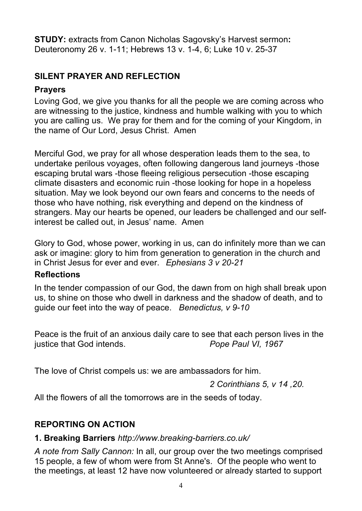**STUDY:** extracts from Canon Nicholas Sagovsky's Harvest sermon**:**  Deuteronomy 26 v. 1-11; Hebrews 13 v. 1-4, 6; Luke 10 v. 25-37

# **SILENT PRAYER AND REFLECTION**

#### **Prayers**

Loving God, we give you thanks for all the people we are coming across who are witnessing to the justice, kindness and humble walking with you to which you are calling us. We pray for them and for the coming of your Kingdom, in the name of Our Lord, Jesus Christ. Amen

Merciful God, we pray for all whose desperation leads them to the sea, to undertake perilous voyages, often following dangerous land journeys -those escaping brutal wars -those fleeing religious persecution -those escaping climate disasters and economic ruin -those looking for hope in a hopeless situation. May we look beyond our own fears and concerns to the needs of those who have nothing, risk everything and depend on the kindness of strangers. May our hearts be opened, our leaders be challenged and our selfinterest be called out, in Jesus' name. Amen

Glory to God, whose power, working in us, can do infinitely more than we can ask or imagine: glory to him from generation to generation in the church and in Christ Jesus for ever and ever. *Ephesians 3 v 20-21*

#### **Reflections**

In the tender compassion of our God, the dawn from on high shall break upon us, to shine on those who dwell in darkness and the shadow of death, and to guide our feet into the way of peace. *Benedictus, v 9-10*

Peace is the fruit of an anxious daily care to see that each person lives in the justice that God intends. *Pope Paul VI, 1967*

The love of Christ compels us: we are ambassadors for him.

*2 Corinthians 5, v 14 ,20.* 

All the flowers of all the tomorrows are in the seeds of today.

## **REPORTING ON ACTION**

#### **1. Breaking Barriers** *http://www.breaking-barriers.co.uk/*

*A note from Sally Cannon:* In all, our group over the two meetings comprised 15 people, a few of whom were from St Anne's. Of the people who went to the meetings, at least 12 have now volunteered or already started to support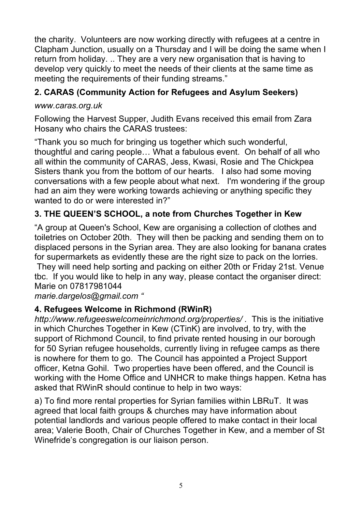the charity. Volunteers are now working directly with refugees at a centre in Clapham Junction, usually on a Thursday and I will be doing the same when I return from holiday. .. They are a very new organisation that is having to develop very quickly to meet the needs of their clients at the same time as meeting the requirements of their funding streams."

# **2. CARAS (Community Action for Refugees and Asylum Seekers)**

# *www.caras.org.uk*

Following the Harvest Supper, Judith Evans received this email from Zara Hosany who chairs the CARAS trustees:

"Thank you so much for bringing us together which such wonderful, thoughtful and caring people… What a fabulous event. On behalf of all who all within the community of CARAS, Jess, Kwasi, Rosie and The Chickpea Sisters thank you from the bottom of our hearts. I also had some moving conversations with a few people about what next. I'm wondering if the group had an aim they were working towards achieving or anything specific they wanted to do or were interested in?"

# **3. THE QUEEN'S SCHOOL, a note from Churches Together in Kew**

"A group at Queen's School, Kew are organising a collection of clothes and toiletries on October 20th. They will then be packing and sending them on to displaced persons in the Syrian area. They are also looking for banana crates for supermarkets as evidently these are the right size to pack on the lorries.

They will need help sorting and packing on either 20th or Friday 21st. Venue tbc. If you would like to help in any way, please contact the organiser direct: Marie on 07817981044

*marie.dargelos@gmail.com "*

# **4. Refugees Welcome in Richmond (RWinR)**

*http://www.refugeeswelcomeinrichmond.org/properties/ .*This is the initiative in which Churches Together in Kew (CTinK) are involved, to try, with the support of Richmond Council, to find private rented housing in our borough for 50 Syrian refugee households, currently living in refugee camps as there is nowhere for them to go. The Council has appointed a Project Support officer, Ketna Gohil. Two properties have been offered, and the Council is working with the Home Office and UNHCR to make things happen. Ketna has asked that RWinR should continue to help in two ways:

a) To find more rental properties for Syrian families within LBRuT. It was agreed that local faith groups & churches may have information about potential landlords and various people offered to make contact in their local area; Valerie Booth, Chair of Churches Together in Kew, and a member of St Winefride's congregation is our liaison person.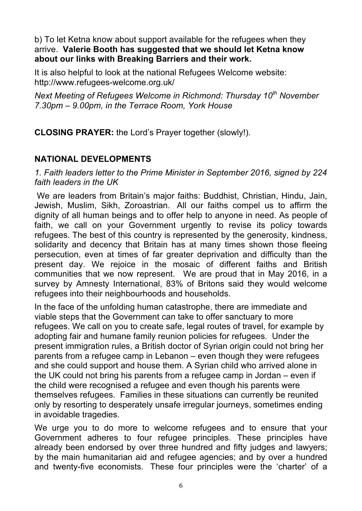b) To let Ketna know about support available for the refugees when they arrive. **Valerie Booth has suggested that we should let Ketna know about our links with Breaking Barriers and their work.**

It is also helpful to look at the national Refugees Welcome website: http://www.refugees-welcome.org.uk/

*Next Meeting of Refugees Welcome in Richmond: Thursday 10th November 7.30pm – 9.00pm, in the Terrace Room, York House* 

**CLOSING PRAYER:** the Lord's Prayer together (slowly!).

# **NATIONAL DEVELOPMENTS**

*1. Faith leaders letter to the Prime Minister in September 2016, signed by 224 faith leaders in the UK* 

We are leaders from Britain's major faiths: Buddhist, Christian, Hindu, Jain, Jewish, Muslim, Sikh, Zoroastrian. All our faiths compel us to affirm the dignity of all human beings and to offer help to anyone in need. As people of faith, we call on your Government urgently to revise its policy towards refugees. The best of this country is represented by the generosity, kindness, solidarity and decency that Britain has at many times shown those fleeing persecution, even at times of far greater deprivation and difficulty than the present day. We rejoice in the mosaic of different faiths and British communities that we now represent. We are proud that in May 2016, in a survey by Amnesty International, 83% of Britons said they would welcome refugees into their neighbourhoods and households.

In the face of the unfolding human catastrophe, there are immediate and viable steps that the Government can take to offer sanctuary to more refugees. We call on you to create safe, legal routes of travel, for example by adopting fair and humane family reunion policies for refugees. Under the present immigration rules, a British doctor of Syrian origin could not bring her parents from a refugee camp in Lebanon – even though they were refugees and she could support and house them. A Syrian child who arrived alone in the UK could not bring his parents from a refugee camp in Jordan – even if the child were recognised a refugee and even though his parents were themselves refugees. Families in these situations can currently be reunited only by resorting to desperately unsafe irregular journeys, sometimes ending in avoidable tragedies.

We urge you to do more to welcome refugees and to ensure that your Government adheres to four refugee principles. These principles have already been endorsed by over three hundred and fifty judges and lawyers; by the main humanitarian aid and refugee agencies; and by over a hundred and twenty-five economists. These four principles were the 'charter' of a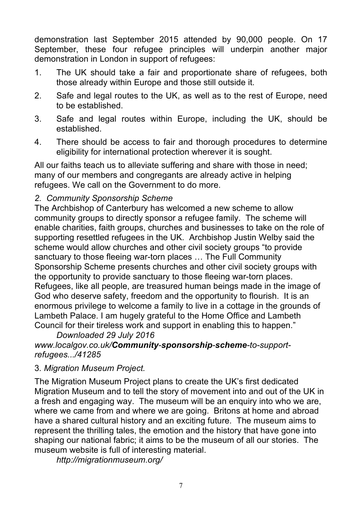demonstration last September 2015 attended by 90,000 people. On 17 September, these four refugee principles will underpin another major demonstration in London in support of refugees:

- 1. The UK should take a fair and proportionate share of refugees, both those already within Europe and those still outside it.
- 2. Safe and legal routes to the UK, as well as to the rest of Europe, need to be established.
- 3. Safe and legal routes within Europe, including the UK, should be established.
- 4. There should be access to fair and thorough procedures to determine eligibility for international protection wherever it is sought.

All our faiths teach us to alleviate suffering and share with those in need; many of our members and congregants are already active in helping refugees. We call on the Government to do more.

## *2. Community Sponsorship Scheme*

The Archbishop of Canterbury has welcomed a new scheme to allow community groups to directly sponsor a refugee family. The scheme will enable charities, faith groups, churches and businesses to take on the role of supporting resettled refugees in the UK. Archbishop Justin Welby said the scheme would allow churches and other civil society groups "to provide sanctuary to those fleeing war-torn places … The Full Community Sponsorship Scheme presents churches and other civil society groups with the opportunity to provide sanctuary to those fleeing war-torn places. Refugees, like all people, are treasured human beings made in the image of God who deserve safety, freedom and the opportunity to flourish. It is an enormous privilege to welcome a family to live in a cottage in the grounds of Lambeth Palace. I am hugely grateful to the Home Office and Lambeth Council for their tireless work and support in enabling this to happen."

*Downloaded 29 July 2016 www.localgov.co.uk/Community-sponsorship-scheme-to-supportrefugees.../41285* 

#### 3*. Migration Museum Project.*

The Migration Museum Project plans to create the UK's first dedicated Migration Museum and to tell the story of movement into and out of the UK in a fresh and engaging way.The museum will be an enquiry into who we are, where we came from and where we are going. Britons at home and abroad have a shared cultural history and an exciting future. The museum aims to represent the thrilling tales, the emotion and the history that have gone into shaping our national fabric; it aims to be the museum of all our stories. The museum website is full of interesting material.

*http://migrationmuseum.org/*